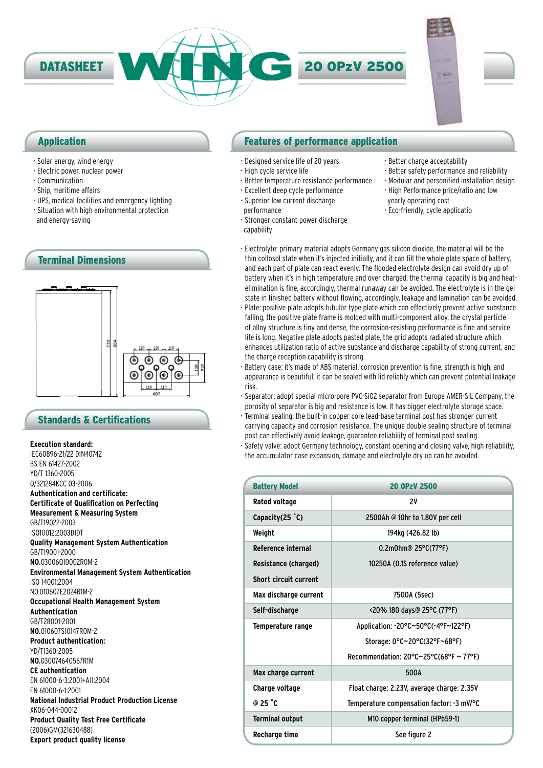

## Application

- Solar energy, wind energy
- Electric power, nuclear power
- Communication
- Ship, maritime affairs
- UPS, medical facilities and emergency lighting
- Situation with high environmental protection and energy-saving



## Standards & Certifications

### **Execution standard:**

IEC60896-21/22 DIN40742 BS EN 61427-2002 YD/T 1360-2005 Q/321284KCC 03-2006 **Authentication and certificate: Certificate of Qualification on Perfecting Measurement & Measuring System** GB/T19022-2003 IS010012:2003ĐIDT **Quality Management System Authentication** GB/T19001-2000 **NO.**03006Q10002R0M-2 **Environmental Management System Authentication** ISO 14001:2004 NO.010607E2024R1M-2 **Occupational Health Management System Authentication** GB/T28001-2001 **NO.**010607S10147R0M-2 **Product authentication:** YD/T1360-2005 **NO.**030074640567R1M **CE authentication** EN 61000-6-3:2001+A11:2004 EN 61000-6-1:2001 **National Industrial Product Production License** XK06-044-00012 **Product Quality Test Free Certificate** (2006)GM(321630488) **Export product quality license**

## Features of performance application

- Designed service life of 20 years
- High cycle service life
- Better temperature resistance performance
- Excellent deep cycle performance
- Superior low current discharge performance
- Stronger constant power discharge capability
- Better charge acceptability
- Better safety performance and reliability
- Modular and personified installation design
- High Performance price/ratio and low yearly operating cost
- Eco-friendly, cycle applicatio
- Electrolyte: primary material adopts Germany gas silicon dioxide, the material will be the thin collosol state when it's injected initially, and it can fill the whole plate space of battery, and each part of plate can react evenly. The flooded electrolyte design can avoid dry up of battery when it's in high temperature and over charged, the thermal capacity is big and heatelimination is fine, accordingly, thermal runaway can be avoided. The electrolyte is in the gel state in finished battery without flowing, accordingly, leakage and lamination can be avoided.
- Plate: positive plate adopts tubular type plate which can effectively prevent active substance falling, the positive plate frame is molded with multi-component alloy, the crystal particle of alloy structure is tiny and dense, the corrosion-resisting performance is fine and service life is long. Negative plate adopts pasted plate, the grid adopts radiated structure which enhances utilization ratio of active substance and discharge capability of strong current, and the charge reception capability is strong.
- Battery case: it's made of ABS material, corrosion prevention is fine, strength is high, and appearance is beautiful, it can be sealed with lid reliably which can prevent potential leakage risk.
- Separator: adopt special micro-pore PVC-SiO2 separator from Europe AMER-SIL Company, the porosity of separator is big and resistance is low. It has bigger electrolyte storage space.
- Terminal sealing: the built-in copper core lead-base terminal post has stronger current carrying capacity and corrosion resistance. The unique double sealing structure of terminal post can effectively avoid leakage, guarantee reliability of terminal post sealing.
- Safety valve: adopt Germany technology, constant opening and closing valve, high reliability, the accumulator case expansion, damage and electrolyte dry up can be avoided.

| <b>Battery Model</b>         | <b>20 OPzV 2500</b>                                          |  |
|------------------------------|--------------------------------------------------------------|--|
| Rated voltage                | 2٧                                                           |  |
| Capacity $(25 \degree C)$    | 2500Ah @ 10hr to 1.80V per cell                              |  |
| Weight                       | 194kg (426.82 lb)                                            |  |
| <b>Reference internal</b>    | 0.2m0hm@ 25°C(77°F)                                          |  |
| Resistance (charged)         | 10250A (0.1S reference value)                                |  |
| <b>Short circuit current</b> |                                                              |  |
| Max discharge current        | 7500A (5sec)                                                 |  |
| Self-discharge               | <20% 180 days@ 25°C (77°F)                                   |  |
| Temperature range            | Application: -20°C~50°C(-4°F~122°F)                          |  |
|                              | Storage: 0°C~20°C(32°F~68°F)                                 |  |
|                              | Recommendation: $20^{\circ}$ C $\sim$ 25°C(68°F $\sim$ 77°F) |  |
| Max charge current           | 500A                                                         |  |
| Charge voltage               | Float charge: 2.23V, average charge: 2.35V                   |  |
| @ 25 $^{\circ}$ C            | Temperature compensation factor: -3 mV/°C                    |  |
| <b>Terminal output</b>       | M10 copper terminal (HPb59-1)                                |  |
| Recharge time                | See figure 2                                                 |  |